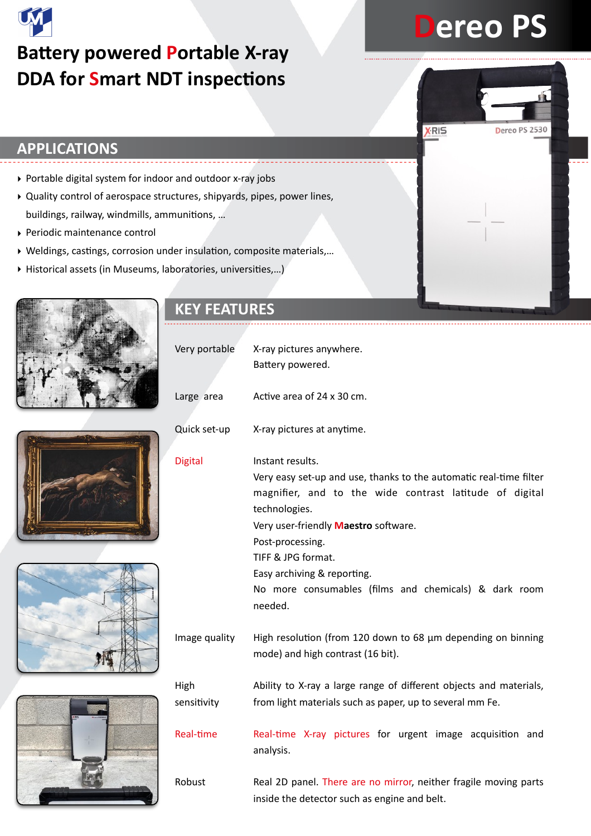# **Battery powered Portable X-ray DDA for Smart NDT inspections**

# **Dereo PS**

**XRIS** 

Dereo PS 2530

## **APPLICATIONS**

- ‣ Portable digital system for indoor and outdoor x-ray jobs
- ‣ Quality control of aerospace structures, shipyards, pipes, power lines, buildings, railway, windmills, ammunitions, ...
- ‣ Periodic maintenance control
- ▶ Weldings, castings, corrosion under insulation, composite materials,...
- ▶ Historical assets (in Museums, laboratories, universities,...)





|  | Very portable  | X-ray pictures anywhere.<br>Battery powered.                                                                                                                                                                                                                                                                                                            |  |  |  |  |
|--|----------------|---------------------------------------------------------------------------------------------------------------------------------------------------------------------------------------------------------------------------------------------------------------------------------------------------------------------------------------------------------|--|--|--|--|
|  | Large area     | Active area of 24 x 30 cm.                                                                                                                                                                                                                                                                                                                              |  |  |  |  |
|  | Quick set-up   | X-ray pictures at anytime.                                                                                                                                                                                                                                                                                                                              |  |  |  |  |
|  | <b>Digital</b> | Instant results.<br>Very easy set-up and use, thanks to the automatic real-time filter<br>magnifier, and to the wide contrast latitude of digital<br>technologies.<br>Very user-friendly Maestro software.<br>Post-processing.<br>TIFF & JPG format.<br>Easy archiving & reporting.<br>No more consumables (films and chemicals) & dark room<br>needed. |  |  |  |  |
|  | Image quality  | High resolution (from 120 down to 68 µm depending on binning<br>mode) and high contrast (16 bit).                                                                                                                                                                                                                                                       |  |  |  |  |
|  | High           | Ability to X-ray a large range of different objects and materials,                                                                                                                                                                                                                                                                                      |  |  |  |  |
|  | sensitivity    | from light materials such as paper, up to several mm Fe.                                                                                                                                                                                                                                                                                                |  |  |  |  |
|  | Real-time      | Real-time X-ray pictures for urgent image acquisition and<br>analysis.                                                                                                                                                                                                                                                                                  |  |  |  |  |
|  | Robust         | Real 2D panel. There are no mirror, neither fragile moving parts<br>inside the detector such as engine and belt.                                                                                                                                                                                                                                        |  |  |  |  |